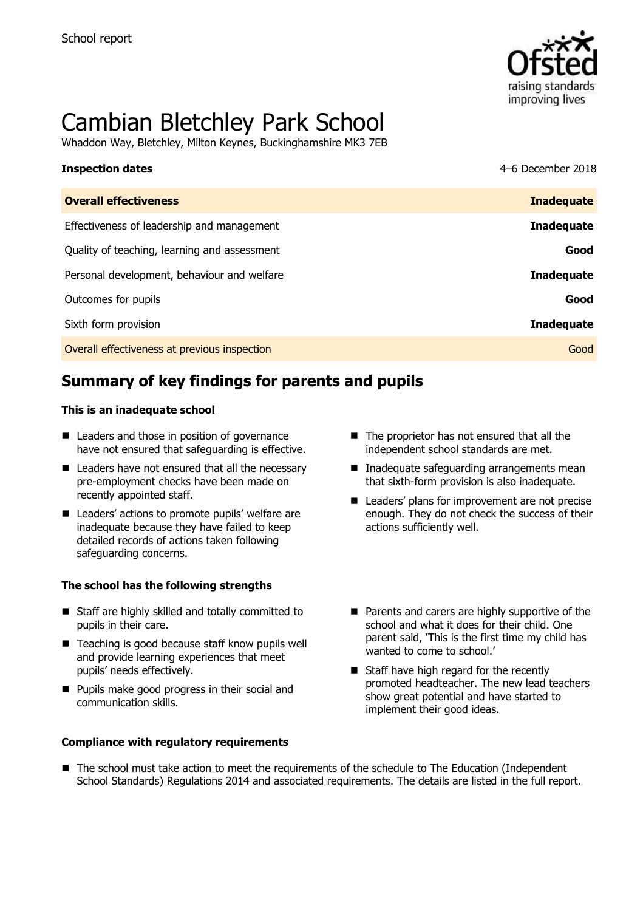

# Cambian Bletchley Park School

Whaddon Way, Bletchley, Milton Keynes, Buckinghamshire MK3 7EB

| <b>Inspection dates</b>                      | 4-6 December 2018 |
|----------------------------------------------|-------------------|
| <b>Overall effectiveness</b>                 | <b>Inadequate</b> |
| Effectiveness of leadership and management   | <b>Inadequate</b> |
| Quality of teaching, learning and assessment | Good              |
| Personal development, behaviour and welfare  | <b>Inadequate</b> |
| Outcomes for pupils                          | Good              |
| Sixth form provision                         | <b>Inadequate</b> |
| Overall effectiveness at previous inspection | Good              |

# **Summary of key findings for parents and pupils**

#### **This is an inadequate school**

- Leaders and those in position of governance have not ensured that safeguarding is effective.
- Leaders have not ensured that all the necessary pre-employment checks have been made on recently appointed staff.
- Leaders' actions to promote pupils' welfare are inadequate because they have failed to keep detailed records of actions taken following safeguarding concerns.

#### **The school has the following strengths**

- Staff are highly skilled and totally committed to pupils in their care.
- Teaching is good because staff know pupils well and provide learning experiences that meet pupils' needs effectively.
- **Pupils make good progress in their social and** communication skills.

#### **Compliance with regulatory requirements**

- The proprietor has not ensured that all the independent school standards are met.
- Inadequate safeguarding arrangements mean that sixth-form provision is also inadequate.
- Leaders' plans for improvement are not precise enough. They do not check the success of their actions sufficiently well.
- **Parents and carers are highly supportive of the** school and what it does for their child. One parent said, 'This is the first time my child has wanted to come to school.'
- Staff have high regard for the recently promoted headteacher. The new lead teachers show great potential and have started to implement their good ideas.
- The school must take action to meet the requirements of the schedule to The Education (Independent School Standards) Regulations 2014 and associated requirements. The details are listed in the full report.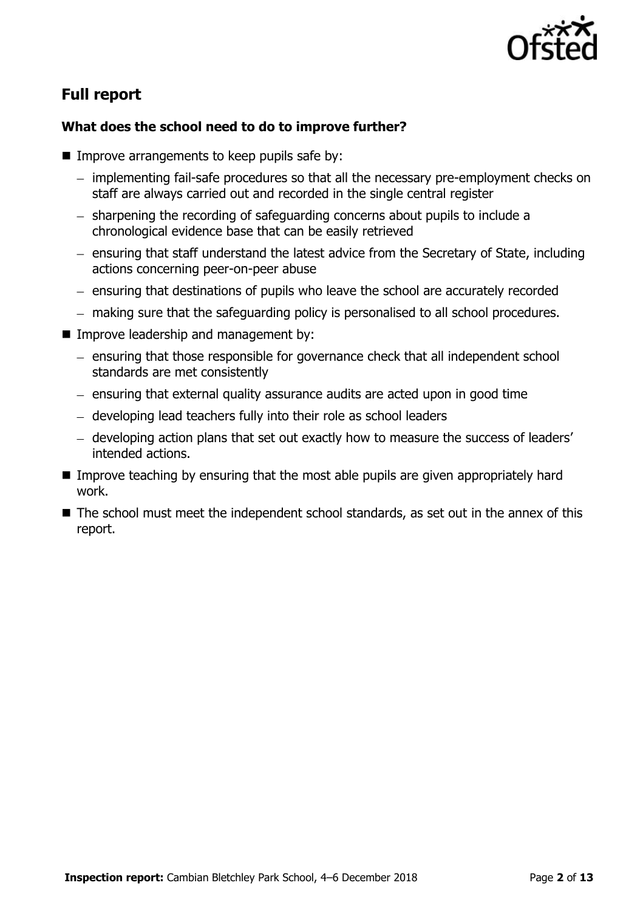

# **Full report**

#### **What does the school need to do to improve further?**

- $\blacksquare$  Improve arrangements to keep pupils safe by:
	- implementing fail-safe procedures so that all the necessary pre-employment checks on staff are always carried out and recorded in the single central register
	- sharpening the recording of safeguarding concerns about pupils to include a chronological evidence base that can be easily retrieved
	- ensuring that staff understand the latest advice from the Secretary of State, including actions concerning peer-on-peer abuse
	- ensuring that destinations of pupils who leave the school are accurately recorded
	- making sure that the safeguarding policy is personalised to all school procedures.
- **Improve leadership and management by:** 
	- ensuring that those responsible for governance check that all independent school standards are met consistently
	- ensuring that external quality assurance audits are acted upon in good time
	- developing lead teachers fully into their role as school leaders
	- developing action plans that set out exactly how to measure the success of leaders' intended actions.
- **IMPROVE THE 19 Improve teaching by ensuring that the most able pupils are given appropriately hard** work.
- The school must meet the independent school standards, as set out in the annex of this report.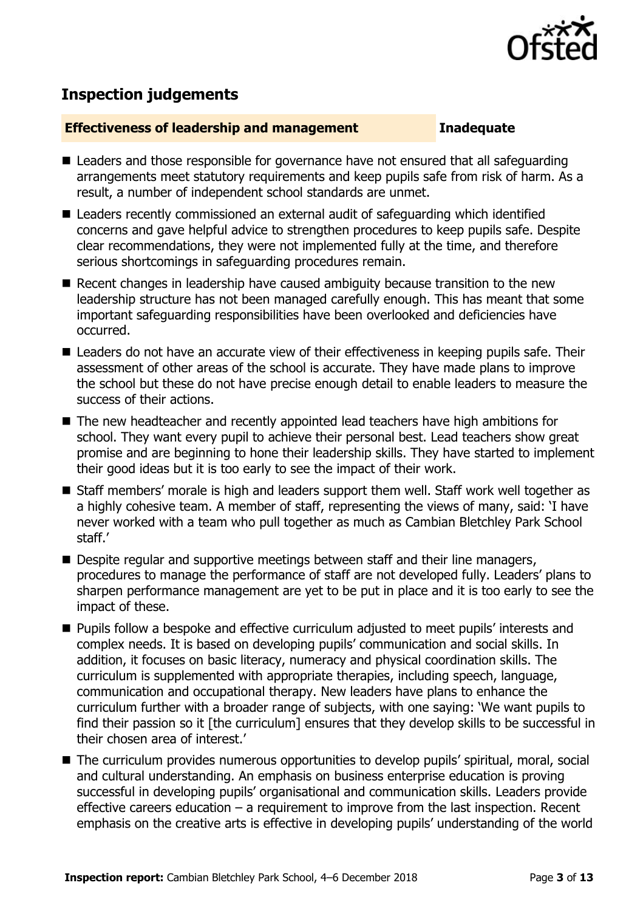

# **Inspection judgements**

#### **Effectiveness of leadership and management Inadequate**

- Leaders and those responsible for governance have not ensured that all safequarding arrangements meet statutory requirements and keep pupils safe from risk of harm. As a result, a number of independent school standards are unmet.
- Leaders recently commissioned an external audit of safeguarding which identified concerns and gave helpful advice to strengthen procedures to keep pupils safe. Despite clear recommendations, they were not implemented fully at the time, and therefore serious shortcomings in safeguarding procedures remain.
- Recent changes in leadership have caused ambiguity because transition to the new leadership structure has not been managed carefully enough. This has meant that some important safeguarding responsibilities have been overlooked and deficiencies have occurred.
- Leaders do not have an accurate view of their effectiveness in keeping pupils safe. Their assessment of other areas of the school is accurate. They have made plans to improve the school but these do not have precise enough detail to enable leaders to measure the success of their actions.
- The new headteacher and recently appointed lead teachers have high ambitions for school. They want every pupil to achieve their personal best. Lead teachers show great promise and are beginning to hone their leadership skills. They have started to implement their good ideas but it is too early to see the impact of their work.
- Staff members' morale is high and leaders support them well. Staff work well together as a highly cohesive team. A member of staff, representing the views of many, said: 'I have never worked with a team who pull together as much as Cambian Bletchley Park School staff.'
- Despite regular and supportive meetings between staff and their line managers, procedures to manage the performance of staff are not developed fully. Leaders' plans to sharpen performance management are yet to be put in place and it is too early to see the impact of these.
- **Pupils follow a bespoke and effective curriculum adjusted to meet pupils' interests and** complex needs. It is based on developing pupils' communication and social skills. In addition, it focuses on basic literacy, numeracy and physical coordination skills. The curriculum is supplemented with appropriate therapies, including speech, language, communication and occupational therapy. New leaders have plans to enhance the curriculum further with a broader range of subjects, with one saying: 'We want pupils to find their passion so it [the curriculum] ensures that they develop skills to be successful in their chosen area of interest.'
- The curriculum provides numerous opportunities to develop pupils' spiritual, moral, social and cultural understanding. An emphasis on business enterprise education is proving successful in developing pupils' organisational and communication skills. Leaders provide effective careers education – a requirement to improve from the last inspection. Recent emphasis on the creative arts is effective in developing pupils' understanding of the world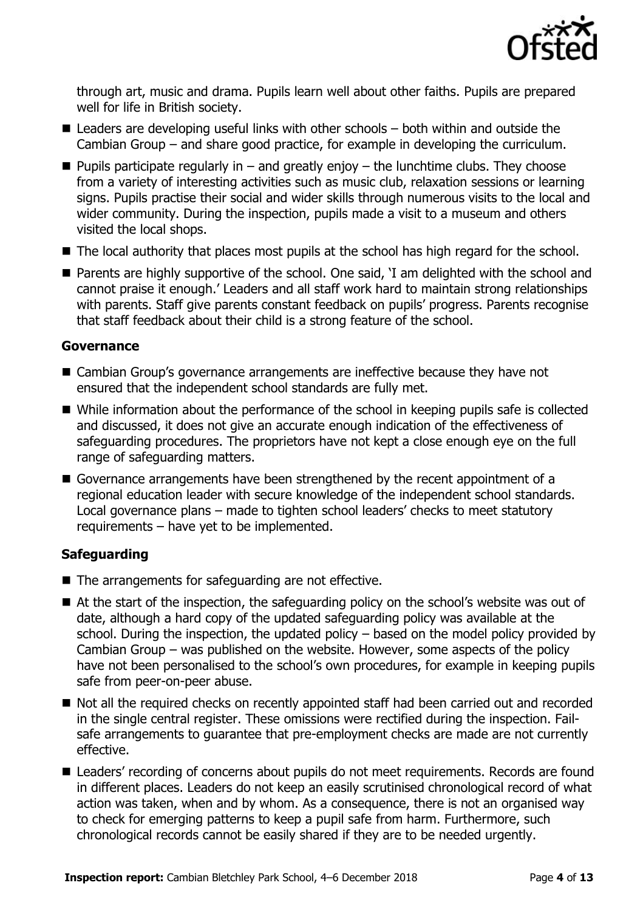

through art, music and drama. Pupils learn well about other faiths. Pupils are prepared well for life in British society.

- $\blacksquare$  Leaders are developing useful links with other schools  $-$  both within and outside the Cambian Group – and share good practice, for example in developing the curriculum.
- **Pupils participate regularly in and greatly enjoy the lunchtime clubs. They choose** from a variety of interesting activities such as music club, relaxation sessions or learning signs. Pupils practise their social and wider skills through numerous visits to the local and wider community. During the inspection, pupils made a visit to a museum and others visited the local shops.
- The local authority that places most pupils at the school has high regard for the school.
- Parents are highly supportive of the school. One said, 'I am delighted with the school and cannot praise it enough.' Leaders and all staff work hard to maintain strong relationships with parents. Staff give parents constant feedback on pupils' progress. Parents recognise that staff feedback about their child is a strong feature of the school.

#### **Governance**

- Cambian Group's governance arrangements are ineffective because they have not ensured that the independent school standards are fully met.
- While information about the performance of the school in keeping pupils safe is collected and discussed, it does not give an accurate enough indication of the effectiveness of safeguarding procedures. The proprietors have not kept a close enough eye on the full range of safeguarding matters.
- Governance arrangements have been strengthened by the recent appointment of a regional education leader with secure knowledge of the independent school standards. Local governance plans – made to tighten school leaders' checks to meet statutory requirements – have yet to be implemented.

### **Safeguarding**

- $\blacksquare$  The arrangements for safeguarding are not effective.
- At the start of the inspection, the safeguarding policy on the school's website was out of date, although a hard copy of the updated safeguarding policy was available at the school. During the inspection, the updated policy – based on the model policy provided by Cambian Group – was published on the website. However, some aspects of the policy have not been personalised to the school's own procedures, for example in keeping pupils safe from peer-on-peer abuse.
- Not all the required checks on recently appointed staff had been carried out and recorded in the single central register. These omissions were rectified during the inspection. Failsafe arrangements to guarantee that pre-employment checks are made are not currently effective.
- Leaders' recording of concerns about pupils do not meet requirements. Records are found in different places. Leaders do not keep an easily scrutinised chronological record of what action was taken, when and by whom. As a consequence, there is not an organised way to check for emerging patterns to keep a pupil safe from harm. Furthermore, such chronological records cannot be easily shared if they are to be needed urgently.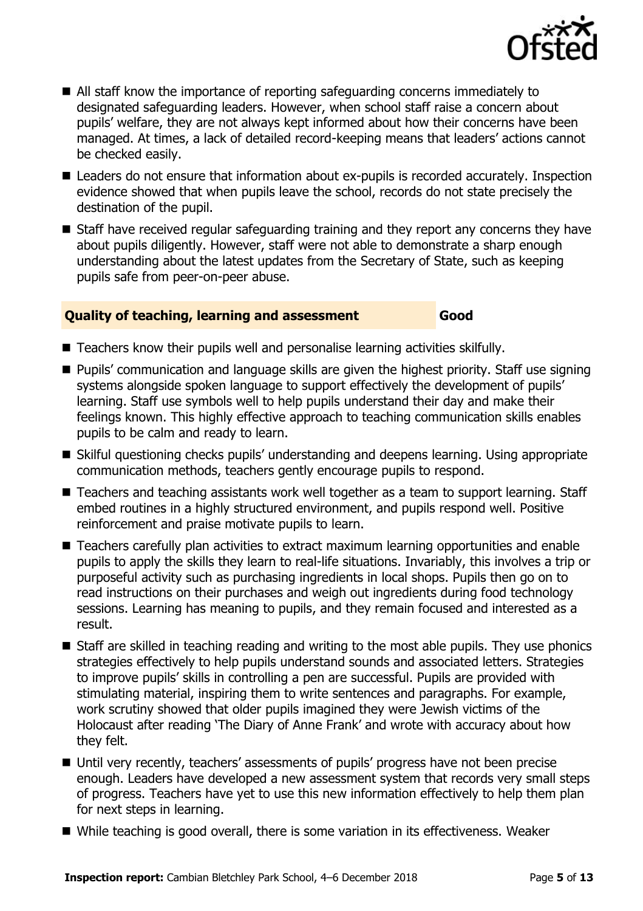

- All staff know the importance of reporting safeguarding concerns immediately to designated safeguarding leaders. However, when school staff raise a concern about pupils' welfare, they are not always kept informed about how their concerns have been managed. At times, a lack of detailed record-keeping means that leaders' actions cannot be checked easily.
- Leaders do not ensure that information about ex-pupils is recorded accurately. Inspection evidence showed that when pupils leave the school, records do not state precisely the destination of the pupil.
- Staff have received regular safeguarding training and they report any concerns they have about pupils diligently. However, staff were not able to demonstrate a sharp enough understanding about the latest updates from the Secretary of State, such as keeping pupils safe from peer-on-peer abuse.

#### **Quality of teaching, learning and assessment Good**

- Teachers know their pupils well and personalise learning activities skilfully.
- Pupils' communication and language skills are given the highest priority. Staff use signing systems alongside spoken language to support effectively the development of pupils' learning. Staff use symbols well to help pupils understand their day and make their feelings known. This highly effective approach to teaching communication skills enables pupils to be calm and ready to learn.
- Skilful questioning checks pupils' understanding and deepens learning. Using appropriate communication methods, teachers gently encourage pupils to respond.
- Teachers and teaching assistants work well together as a team to support learning. Staff embed routines in a highly structured environment, and pupils respond well. Positive reinforcement and praise motivate pupils to learn.
- Teachers carefully plan activities to extract maximum learning opportunities and enable pupils to apply the skills they learn to real-life situations. Invariably, this involves a trip or purposeful activity such as purchasing ingredients in local shops. Pupils then go on to read instructions on their purchases and weigh out ingredients during food technology sessions. Learning has meaning to pupils, and they remain focused and interested as a result.
- Staff are skilled in teaching reading and writing to the most able pupils. They use phonics strategies effectively to help pupils understand sounds and associated letters. Strategies to improve pupils' skills in controlling a pen are successful. Pupils are provided with stimulating material, inspiring them to write sentences and paragraphs. For example, work scrutiny showed that older pupils imagined they were Jewish victims of the Holocaust after reading 'The Diary of Anne Frank' and wrote with accuracy about how they felt.
- Until very recently, teachers' assessments of pupils' progress have not been precise enough. Leaders have developed a new assessment system that records very small steps of progress. Teachers have yet to use this new information effectively to help them plan for next steps in learning.
- While teaching is good overall, there is some variation in its effectiveness. Weaker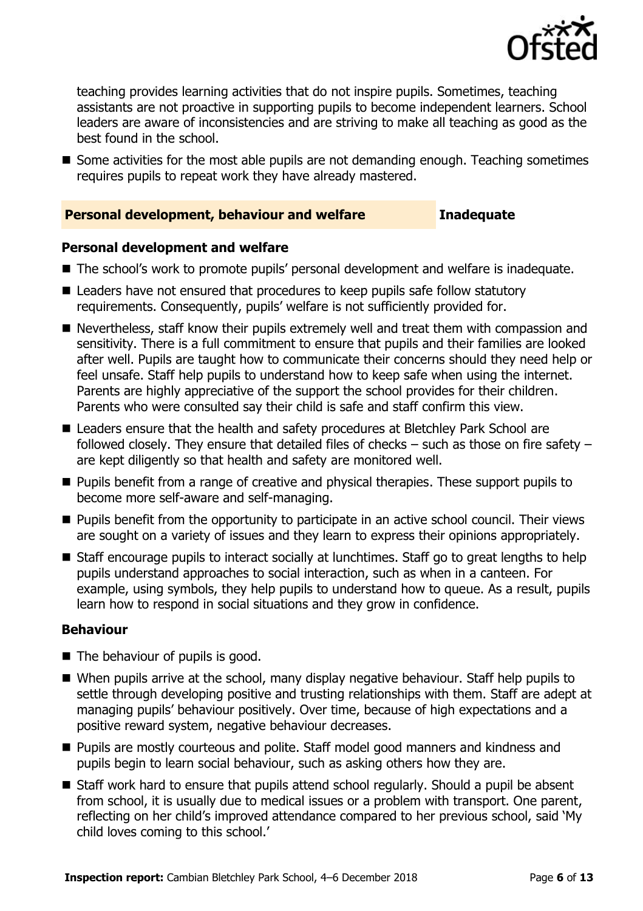

teaching provides learning activities that do not inspire pupils. Sometimes, teaching assistants are not proactive in supporting pupils to become independent learners. School leaders are aware of inconsistencies and are striving to make all teaching as good as the best found in the school.

Some activities for the most able pupils are not demanding enough. Teaching sometimes requires pupils to repeat work they have already mastered.

#### **Personal development, behaviour and welfare <b>Inadequate**

#### **Personal development and welfare**

- The school's work to promote pupils' personal development and welfare is inadequate.
- Leaders have not ensured that procedures to keep pupils safe follow statutory requirements. Consequently, pupils' welfare is not sufficiently provided for.
- Nevertheless, staff know their pupils extremely well and treat them with compassion and sensitivity. There is a full commitment to ensure that pupils and their families are looked after well. Pupils are taught how to communicate their concerns should they need help or feel unsafe. Staff help pupils to understand how to keep safe when using the internet. Parents are highly appreciative of the support the school provides for their children. Parents who were consulted say their child is safe and staff confirm this view.
- Leaders ensure that the health and safety procedures at Bletchley Park School are followed closely. They ensure that detailed files of checks – such as those on fire safety – are kept diligently so that health and safety are monitored well.
- **Pupils benefit from a range of creative and physical therapies. These support pupils to** become more self-aware and self-managing.
- **Pupils benefit from the opportunity to participate in an active school council. Their views** are sought on a variety of issues and they learn to express their opinions appropriately.
- Staff encourage pupils to interact socially at lunchtimes. Staff go to great lengths to help pupils understand approaches to social interaction, such as when in a canteen. For example, using symbols, they help pupils to understand how to queue. As a result, pupils learn how to respond in social situations and they grow in confidence.

#### **Behaviour**

- $\blacksquare$  The behaviour of pupils is good.
- When pupils arrive at the school, many display negative behaviour. Staff help pupils to settle through developing positive and trusting relationships with them. Staff are adept at managing pupils' behaviour positively. Over time, because of high expectations and a positive reward system, negative behaviour decreases.
- **Pupils are mostly courteous and polite. Staff model good manners and kindness and** pupils begin to learn social behaviour, such as asking others how they are.
- Staff work hard to ensure that pupils attend school regularly. Should a pupil be absent from school, it is usually due to medical issues or a problem with transport. One parent, reflecting on her child's improved attendance compared to her previous school, said 'My child loves coming to this school.'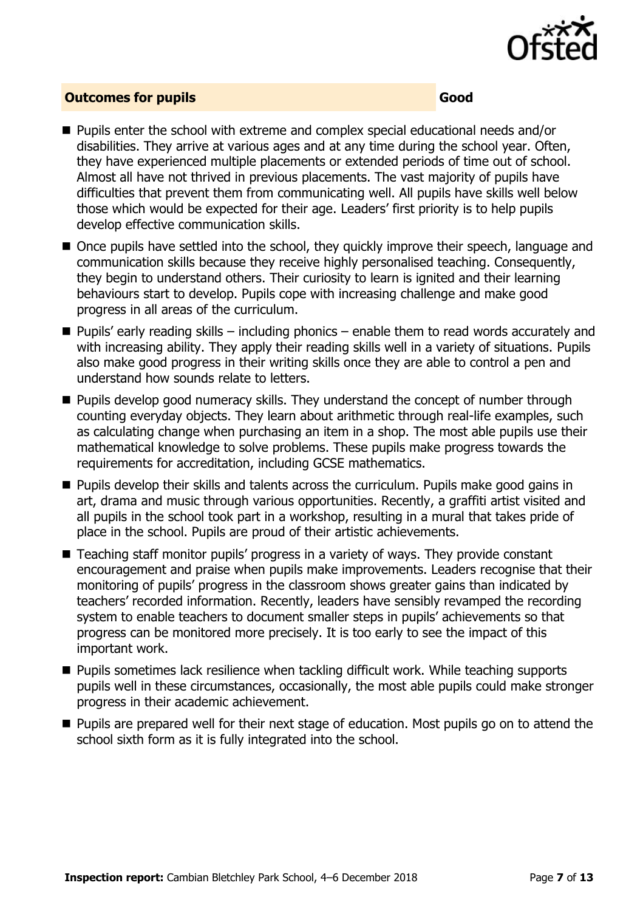

#### **Outcomes for pupils Good Good**

- Pupils enter the school with extreme and complex special educational needs and/or disabilities. They arrive at various ages and at any time during the school year. Often, they have experienced multiple placements or extended periods of time out of school. Almost all have not thrived in previous placements. The vast majority of pupils have difficulties that prevent them from communicating well. All pupils have skills well below those which would be expected for their age. Leaders' first priority is to help pupils develop effective communication skills.
- Once pupils have settled into the school, they quickly improve their speech, language and communication skills because they receive highly personalised teaching. Consequently, they begin to understand others. Their curiosity to learn is ignited and their learning behaviours start to develop. Pupils cope with increasing challenge and make good progress in all areas of the curriculum.
- $\blacksquare$  Pupils' early reading skills including phonics enable them to read words accurately and with increasing ability. They apply their reading skills well in a variety of situations. Pupils also make good progress in their writing skills once they are able to control a pen and understand how sounds relate to letters.
- **Pupils develop good numeracy skills. They understand the concept of number through** counting everyday objects. They learn about arithmetic through real-life examples, such as calculating change when purchasing an item in a shop. The most able pupils use their mathematical knowledge to solve problems. These pupils make progress towards the requirements for accreditation, including GCSE mathematics.
- **Pupils develop their skills and talents across the curriculum. Pupils make good gains in** art, drama and music through various opportunities. Recently, a graffiti artist visited and all pupils in the school took part in a workshop, resulting in a mural that takes pride of place in the school. Pupils are proud of their artistic achievements.
- Teaching staff monitor pupils' progress in a variety of ways. They provide constant encouragement and praise when pupils make improvements. Leaders recognise that their monitoring of pupils' progress in the classroom shows greater gains than indicated by teachers' recorded information. Recently, leaders have sensibly revamped the recording system to enable teachers to document smaller steps in pupils' achievements so that progress can be monitored more precisely. It is too early to see the impact of this important work.
- **Pupils sometimes lack resilience when tackling difficult work. While teaching supports** pupils well in these circumstances, occasionally, the most able pupils could make stronger progress in their academic achievement.
- **Pupils are prepared well for their next stage of education. Most pupils go on to attend the** school sixth form as it is fully integrated into the school.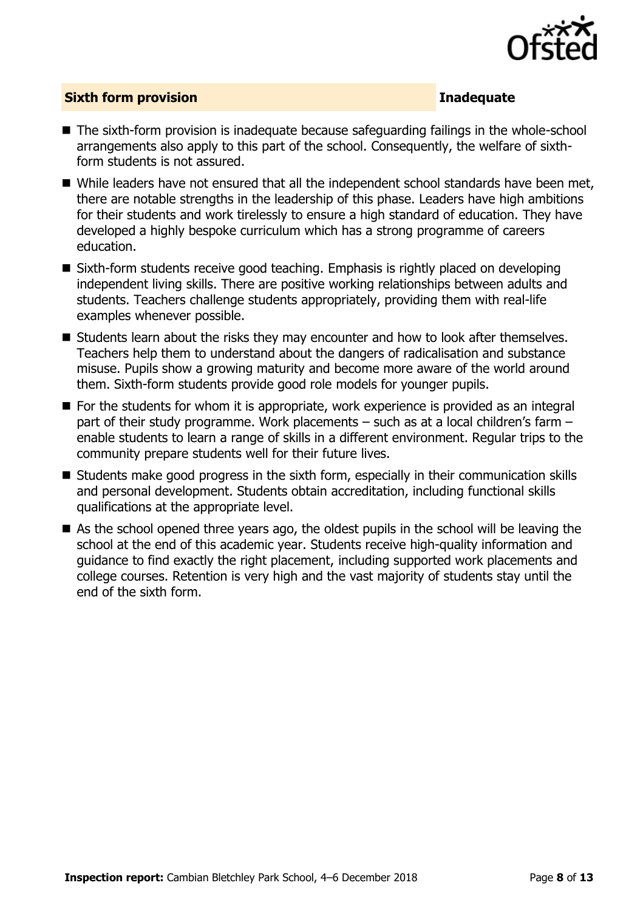

#### **Sixth form provision Inadequate**

- The sixth-form provision is inadequate because safeguarding failings in the whole-school arrangements also apply to this part of the school. Consequently, the welfare of sixthform students is not assured.
- While leaders have not ensured that all the independent school standards have been met, there are notable strengths in the leadership of this phase. Leaders have high ambitions for their students and work tirelessly to ensure a high standard of education. They have developed a highly bespoke curriculum which has a strong programme of careers education.
- Sixth-form students receive good teaching. Emphasis is rightly placed on developing independent living skills. There are positive working relationships between adults and students. Teachers challenge students appropriately, providing them with real-life examples whenever possible.
- Students learn about the risks they may encounter and how to look after themselves. Teachers help them to understand about the dangers of radicalisation and substance misuse. Pupils show a growing maturity and become more aware of the world around them. Sixth-form students provide good role models for younger pupils.
- For the students for whom it is appropriate, work experience is provided as an integral part of their study programme. Work placements – such as at a local children's farm – enable students to learn a range of skills in a different environment. Regular trips to the community prepare students well for their future lives.
- Students make good progress in the sixth form, especially in their communication skills and personal development. Students obtain accreditation, including functional skills qualifications at the appropriate level.
- As the school opened three years ago, the oldest pupils in the school will be leaving the school at the end of this academic year. Students receive high-quality information and guidance to find exactly the right placement, including supported work placements and college courses. Retention is very high and the vast majority of students stay until the end of the sixth form.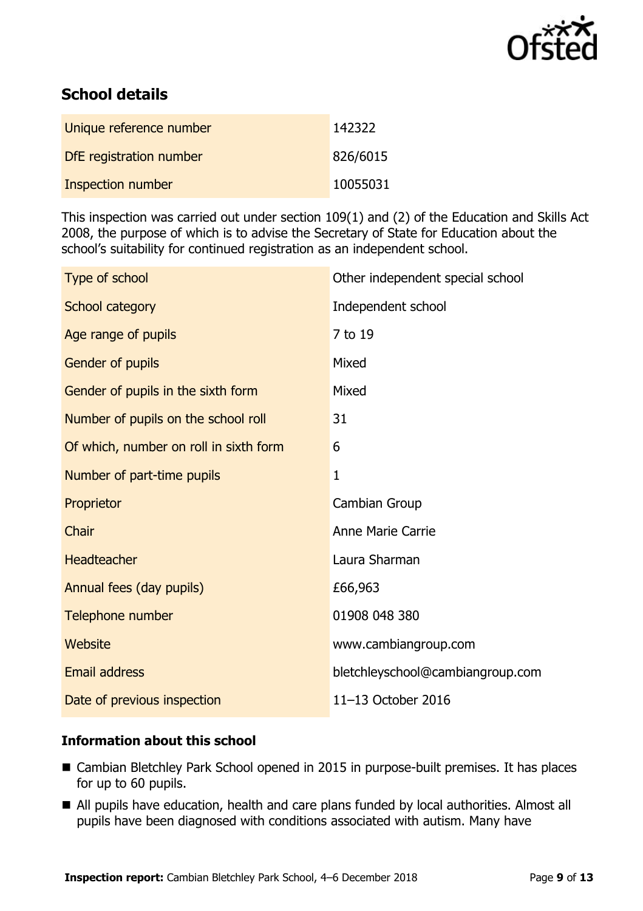

# **School details**

| Unique reference number  | 142322   |
|--------------------------|----------|
| DfE registration number  | 826/6015 |
| <b>Inspection number</b> | 10055031 |

This inspection was carried out under section 109(1) and (2) of the Education and Skills Act 2008, the purpose of which is to advise the Secretary of State for Education about the school's suitability for continued registration as an independent school.

| Type of school                         | Other independent special school |
|----------------------------------------|----------------------------------|
| School category                        | Independent school               |
| Age range of pupils                    | 7 to 19                          |
| Gender of pupils                       | Mixed                            |
| Gender of pupils in the sixth form     | Mixed                            |
| Number of pupils on the school roll    | 31                               |
| Of which, number on roll in sixth form | 6                                |
| Number of part-time pupils             | $\mathbf{1}$                     |
| Proprietor                             | Cambian Group                    |
| Chair                                  | <b>Anne Marie Carrie</b>         |
| <b>Headteacher</b>                     | Laura Sharman                    |
| Annual fees (day pupils)               | £66,963                          |
| Telephone number                       | 01908 048 380                    |
| Website                                | www.cambiangroup.com             |
| <b>Email address</b>                   | bletchleyschool@cambiangroup.com |
| Date of previous inspection            | 11-13 October 2016               |

#### **Information about this school**

- Cambian Bletchley Park School opened in 2015 in purpose-built premises. It has places for up to 60 pupils.
- All pupils have education, health and care plans funded by local authorities. Almost all pupils have been diagnosed with conditions associated with autism. Many have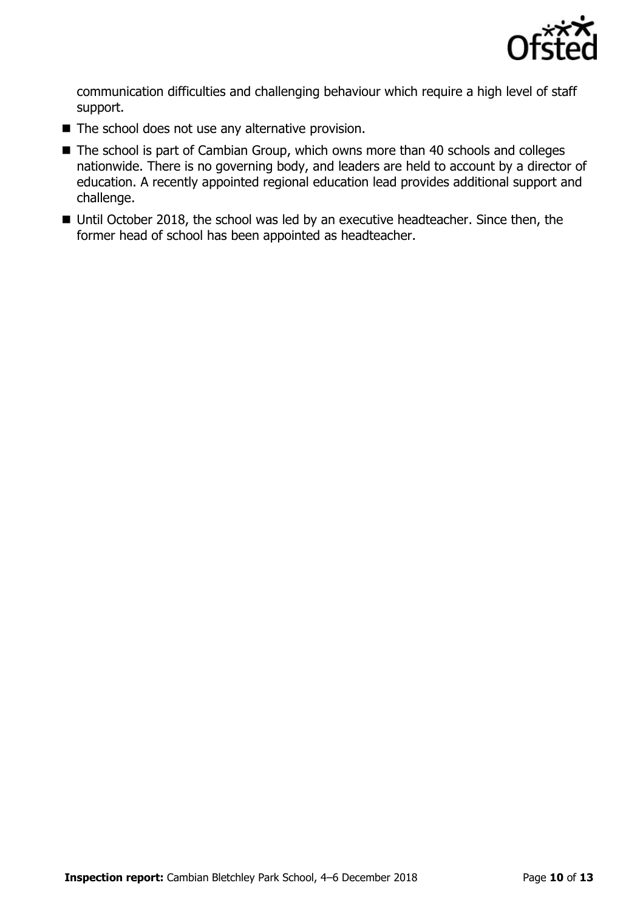

communication difficulties and challenging behaviour which require a high level of staff support.

- The school does not use any alternative provision.
- The school is part of Cambian Group, which owns more than 40 schools and colleges nationwide. There is no governing body, and leaders are held to account by a director of education. A recently appointed regional education lead provides additional support and challenge.
- Until October 2018, the school was led by an executive headteacher. Since then, the former head of school has been appointed as headteacher.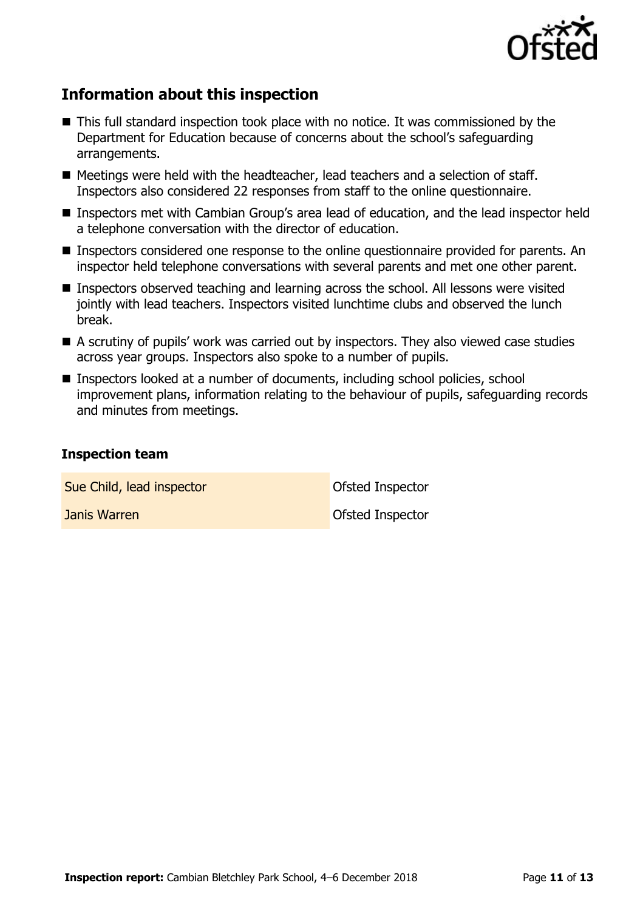

# **Information about this inspection**

- This full standard inspection took place with no notice. It was commissioned by the Department for Education because of concerns about the school's safeguarding arrangements.
- Meetings were held with the headteacher, lead teachers and a selection of staff. Inspectors also considered 22 responses from staff to the online questionnaire.
- Inspectors met with Cambian Group's area lead of education, and the lead inspector held a telephone conversation with the director of education.
- Inspectors considered one response to the online questionnaire provided for parents. An inspector held telephone conversations with several parents and met one other parent.
- Inspectors observed teaching and learning across the school. All lessons were visited jointly with lead teachers. Inspectors visited lunchtime clubs and observed the lunch break.
- A scrutiny of pupils' work was carried out by inspectors. They also viewed case studies across year groups. Inspectors also spoke to a number of pupils.
- Inspectors looked at a number of documents, including school policies, school improvement plans, information relating to the behaviour of pupils, safeguarding records and minutes from meetings.

#### **Inspection team**

Sue Child, lead inspector **Childens** Ofsted Inspector

**Janis Warren Communist Communist Communist Communist Communist Communist Communist Communist Communist Communist Communist Communist Communist Communist Communist Communist Communist Communist Communist Communist Communis**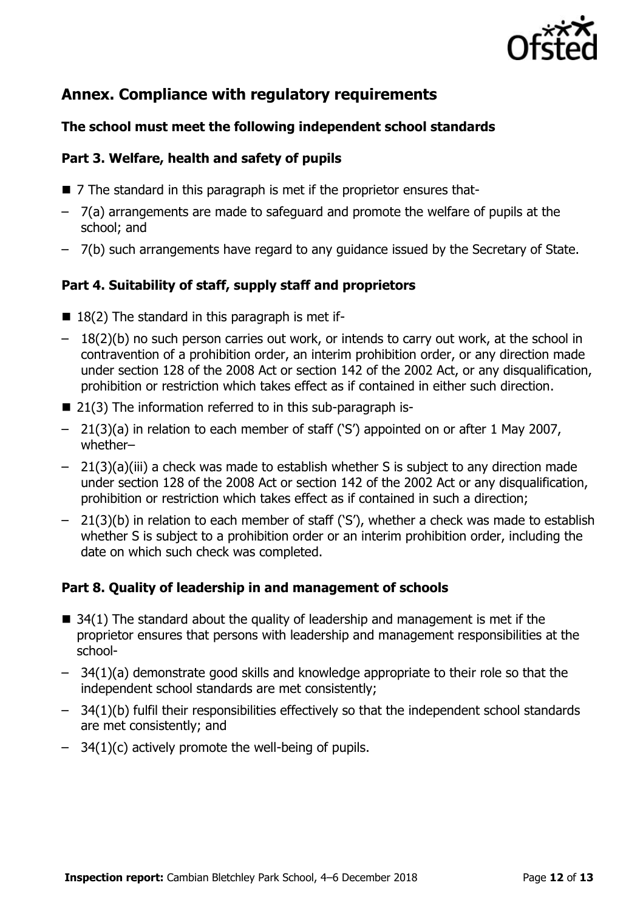

## **Annex. Compliance with regulatory requirements**

#### **The school must meet the following independent school standards**

#### **Part 3. Welfare, health and safety of pupils**

- 7 The standard in this paragraph is met if the proprietor ensures that-
- 7(a) arrangements are made to safeguard and promote the welfare of pupils at the school; and
- 7(b) such arrangements have regard to any guidance issued by the Secretary of State.

### **Part 4. Suitability of staff, supply staff and proprietors**

- $\blacksquare$  18(2) The standard in this paragraph is met if-
- 18(2)(b) no such person carries out work, or intends to carry out work, at the school in contravention of a prohibition order, an interim prohibition order, or any direction made under section 128 of the 2008 Act or section 142 of the 2002 Act, or any disqualification, prohibition or restriction which takes effect as if contained in either such direction.
- 21(3) The information referred to in this sub-paragraph is-
- 21(3)(a) in relation to each member of staff ('S') appointed on or after 1 May 2007, whether–
- 21(3)(a)(iii) a check was made to establish whether S is subject to any direction made under section 128 of the 2008 Act or section 142 of the 2002 Act or any disqualification, prohibition or restriction which takes effect as if contained in such a direction;
- 21(3)(b) in relation to each member of staff ('S'), whether a check was made to establish whether S is subject to a prohibition order or an interim prohibition order, including the date on which such check was completed.

### **Part 8. Quality of leadership in and management of schools**

- $\blacksquare$  34(1) The standard about the quality of leadership and management is met if the proprietor ensures that persons with leadership and management responsibilities at the school-
- 34(1)(a) demonstrate good skills and knowledge appropriate to their role so that the independent school standards are met consistently;
- 34(1)(b) fulfil their responsibilities effectively so that the independent school standards are met consistently; and
- $-$  34(1)(c) actively promote the well-being of pupils.